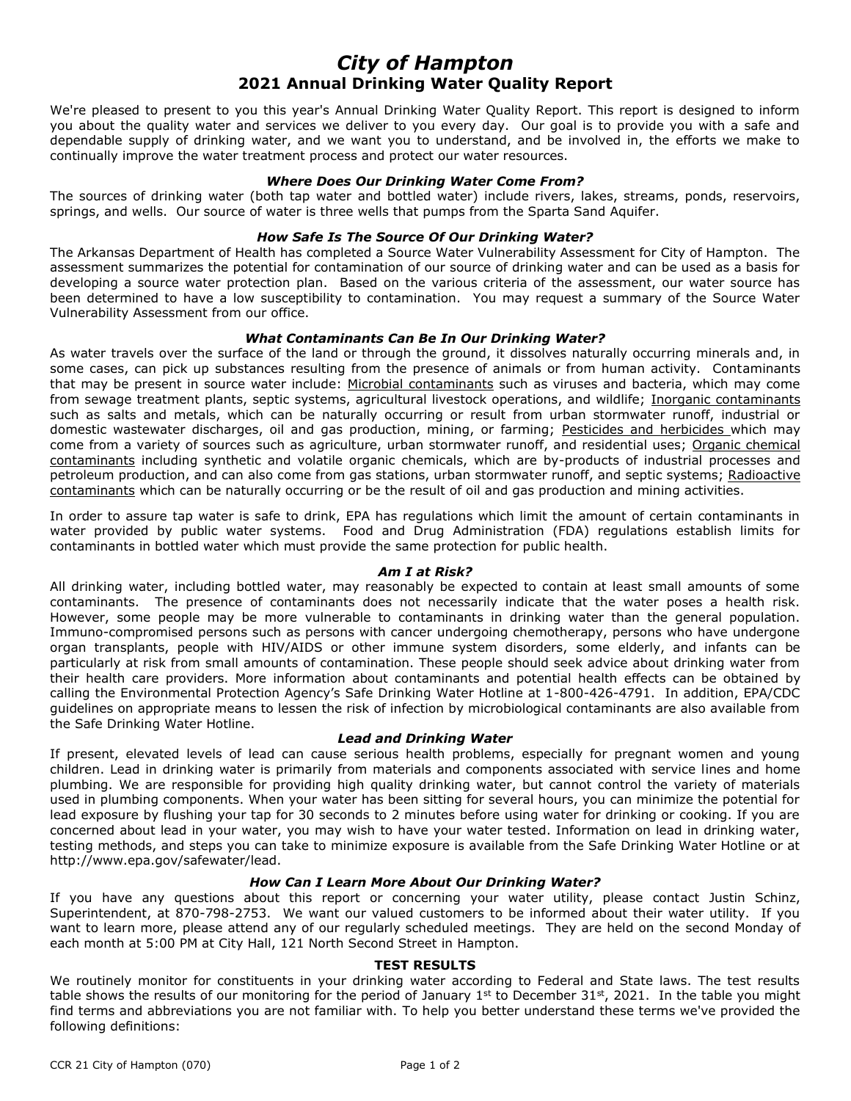# *City of Hampton* **2021 Annual Drinking Water Quality Report**

We're pleased to present to you this year's Annual Drinking Water Quality Report. This report is designed to inform you about the quality water and services we deliver to you every day. Our goal is to provide you with a safe and dependable supply of drinking water, and we want you to understand, and be involved in, the efforts we make to continually improve the water treatment process and protect our water resources.

#### *Where Does Our Drinking Water Come From?*

The sources of drinking water (both tap water and bottled water) include rivers, lakes, streams, ponds, reservoirs, springs, and wells. Our source of water is three wells that pumps from the Sparta Sand Aquifer.

## *How Safe Is The Source Of Our Drinking Water?*

The Arkansas Department of Health has completed a Source Water Vulnerability Assessment for City of Hampton. The assessment summarizes the potential for contamination of our source of drinking water and can be used as a basis for developing a source water protection plan. Based on the various criteria of the assessment, our water source has been determined to have a low susceptibility to contamination. You may request a summary of the Source Water Vulnerability Assessment from our office.

## *What Contaminants Can Be In Our Drinking Water?*

As water travels over the surface of the land or through the ground, it dissolves naturally occurring minerals and, in some cases, can pick up substances resulting from the presence of animals or from human activity. Contaminants that may be present in source water include: Microbial contaminants such as viruses and bacteria, which may come from sewage treatment plants, septic systems, agricultural livestock operations, and wildlife; Inorganic contaminants such as salts and metals, which can be naturally occurring or result from urban stormwater runoff, industrial or domestic wastewater discharges, oil and gas production, mining, or farming; Pesticides and herbicides which may come from a variety of sources such as agriculture, urban stormwater runoff, and residential uses; Organic chemical contaminants including synthetic and volatile organic chemicals, which are by-products of industrial processes and petroleum production, and can also come from gas stations, urban stormwater runoff, and septic systems; Radioactive contaminants which can be naturally occurring or be the result of oil and gas production and mining activities.

In order to assure tap water is safe to drink, EPA has regulations which limit the amount of certain contaminants in water provided by public water systems. Food and Drug Administration (FDA) regulations establish limits for contaminants in bottled water which must provide the same protection for public health.

#### *Am I at Risk?*

All drinking water, including bottled water, may reasonably be expected to contain at least small amounts of some contaminants. The presence of contaminants does not necessarily indicate that the water poses a health risk. However, some people may be more vulnerable to contaminants in drinking water than the general population. Immuno-compromised persons such as persons with cancer undergoing chemotherapy, persons who have undergone organ transplants, people with HIV/AIDS or other immune system disorders, some elderly, and infants can be particularly at risk from small amounts of contamination. These people should seek advice about drinking water from their health care providers. More information about contaminants and potential health effects can be obtained by calling the Environmental Protection Agency's Safe Drinking Water Hotline at 1-800-426-4791. In addition, EPA/CDC guidelines on appropriate means to lessen the risk of infection by microbiological contaminants are also available from the Safe Drinking Water Hotline.

#### *Lead and Drinking Water*

If present, elevated levels of lead can cause serious health problems, especially for pregnant women and young children. Lead in drinking water is primarily from materials and components associated with service lines and home plumbing. We are responsible for providing high quality drinking water, but cannot control the variety of materials used in plumbing components. When your water has been sitting for several hours, you can minimize the potential for lead exposure by flushing your tap for 30 seconds to 2 minutes before using water for drinking or cooking. If you are concerned about lead in your water, you may wish to have your water tested. Information on lead in drinking water, testing methods, and steps you can take to minimize exposure is available from the Safe Drinking Water Hotline or at http://www.epa.gov/safewater/lead.

#### *How Can I Learn More About Our Drinking Water?*

If you have any questions about this report or concerning your water utility, please contact Justin Schinz, Superintendent, at 870-798-2753. We want our valued customers to be informed about their water utility. If you want to learn more, please attend any of our regularly scheduled meetings. They are held on the second Monday of each month at 5:00 PM at City Hall, 121 North Second Street in Hampton.

## **TEST RESULTS**

We routinely monitor for constituents in your drinking water according to Federal and State laws. The test results table shows the results of our monitoring for the period of January 1<sup>st</sup> to December 31st, 2021. In the table you might find terms and abbreviations you are not familiar with. To help you better understand these terms we've provided the following definitions: